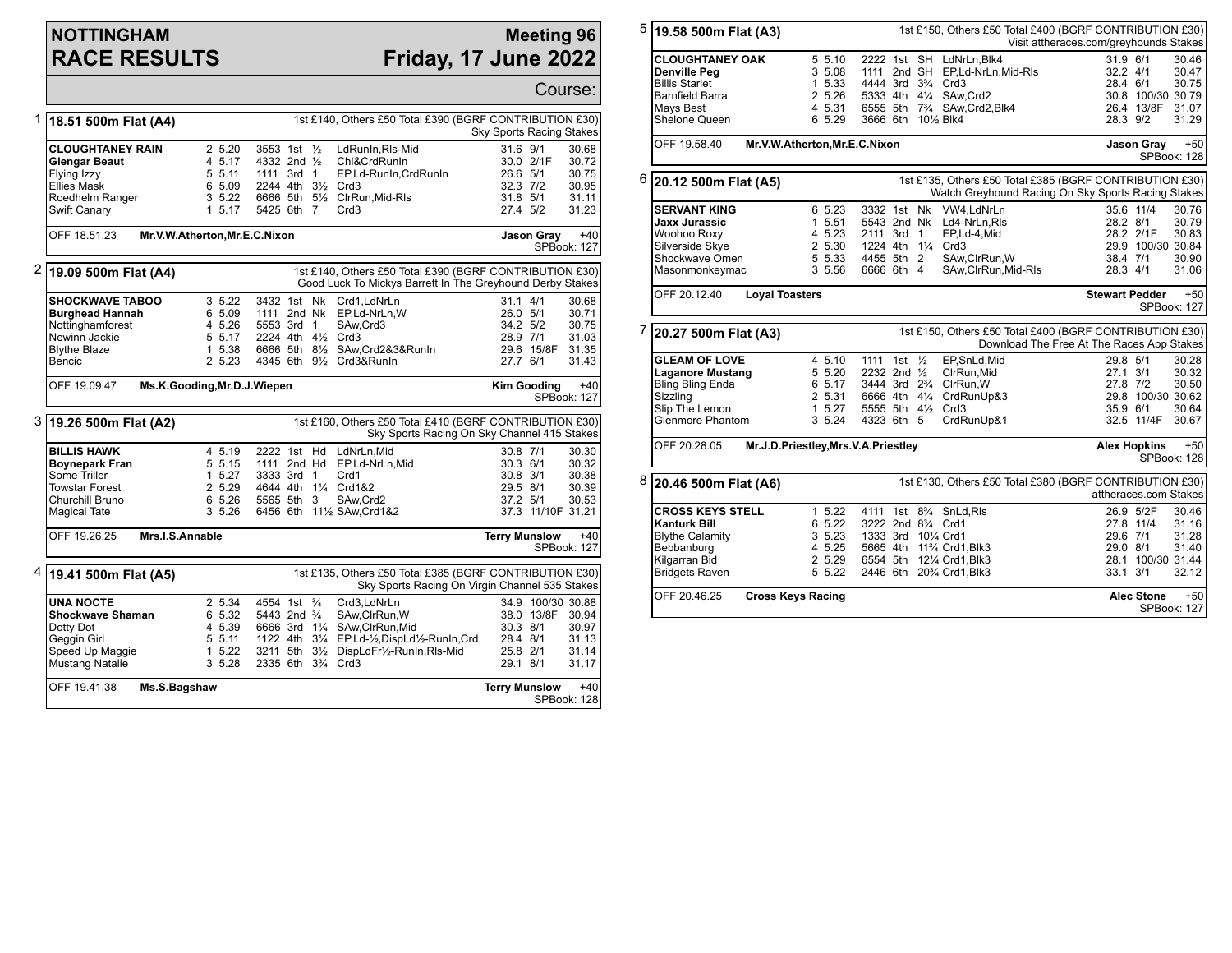## **NOTTINGHAM RACE RESULTS**

## **Meeting 96 Friday, 17 June 2022**

Course:

| 18.51 500m Flat (A4)                   |                                                 |                               |                                        |  | 1st £140, Others £50 Total £390 (BGRF CONTRIBUTION £30)                                                              | <b>Sky Sports Racing Stakes</b>                                                                           |                      |                    |                      |
|----------------------------------------|-------------------------------------------------|-------------------------------|----------------------------------------|--|----------------------------------------------------------------------------------------------------------------------|-----------------------------------------------------------------------------------------------------------|----------------------|--------------------|----------------------|
|                                        | <b>CLOUGHTANEY RAIN</b><br><b>Glengar Beaut</b> | 25.20<br>4 5.17               | 3553 1st 1/2<br>4332 2nd $\frac{1}{2}$ |  |                                                                                                                      | LdRunIn, RIs-Mid<br>Chl&CrdRunIn                                                                          | 31.6 9/1             | 30.0 2/1F          | 30.68<br>30.72       |
|                                        | Flying Izzy                                     | 5 5.11                        | 1111 3rd 1                             |  |                                                                                                                      | EP,Ld-Runln, CrdRunln                                                                                     | 26.6 5/1             |                    | 30.75                |
|                                        | <b>Ellies Mask</b>                              | 6 5.09                        |                                        |  |                                                                                                                      | 2244 4th 31/2 Crd3                                                                                        | 32.3 7/2             |                    | 30.95                |
|                                        | Roedhelm Ranger                                 | 3, 5.22                       |                                        |  |                                                                                                                      | 6666 5th 51/2 ClrRun, Mid-RIs                                                                             | 31.8 5/1             |                    | 31.11                |
|                                        |                                                 | 1, 5, 17                      |                                        |  |                                                                                                                      |                                                                                                           |                      |                    |                      |
|                                        | Swift Canary                                    |                               | 5425 6th 7                             |  |                                                                                                                      | Crd <sub>3</sub>                                                                                          | 27.4 5/2             |                    | 31.23                |
|                                        | OFF 18.51.23                                    | Mr.V.W.Atherton, Mr.E.C.Nixon |                                        |  |                                                                                                                      |                                                                                                           |                      | Jason Gray         | $+40$                |
|                                        |                                                 |                               |                                        |  |                                                                                                                      |                                                                                                           |                      |                    | SPBook: 127          |
| $\overline{2}$<br>19.09 500m Flat (A4) |                                                 |                               |                                        |  | 1st £140, Others £50 Total £390 (BGRF CONTRIBUTION £30)<br>Good Luck To Mickys Barrett In The Greyhound Derby Stakes |                                                                                                           |                      |                    |                      |
|                                        | <b>SHOCKWAVE TABOO</b>                          | 3 5.22                        |                                        |  |                                                                                                                      | 3432 1st Nk Crd1.LdNrLn                                                                                   | $31.1$ 4/1           |                    | 30.68                |
|                                        | <b>Burghead Hannah</b>                          | 6 5.09                        |                                        |  |                                                                                                                      | 1111 2nd Nk EP,Ld-NrLn,W                                                                                  | 26.0 5/1             |                    | 30.71                |
|                                        | Nottinghamforest                                | 4 5.26                        | 5553 3rd 1                             |  |                                                                                                                      | SAw.Crd3                                                                                                  | 34.2 5/2             |                    | 30.75                |
|                                        | Newinn Jackie                                   | 5 5.17                        |                                        |  |                                                                                                                      | 2224 4th 41/2 Crd3                                                                                        | 28.9 7/1             |                    | 31.03                |
|                                        | <b>Blythe Blaze</b>                             | 1 5.38                        |                                        |  |                                                                                                                      | 6666 5th 81/2 SAw.Crd2&3&RunIn                                                                            |                      | 29.6 15/8F         | 31.35                |
|                                        | Bencic                                          | 2 5.23                        |                                        |  |                                                                                                                      | 4345 6th 91/2 Crd3&RunIn                                                                                  | 27.7 6/1             |                    | 31.43                |
|                                        | OFF 19.09.47                                    | Ms.K.Gooding, Mr.D.J.Wiepen   |                                        |  |                                                                                                                      |                                                                                                           |                      | <b>Kim Gooding</b> | $+40$<br>SPBook: 127 |
|                                        | 3 19.26 500m Flat (A2)                          |                               |                                        |  |                                                                                                                      | 1st £160, Others £50 Total £410 (BGRF CONTRIBUTION £30)                                                   |                      |                    |                      |
|                                        |                                                 |                               |                                        |  |                                                                                                                      | Sky Sports Racing On Sky Channel 415 Stakes                                                               |                      |                    |                      |
|                                        | <b>BILLIS HAWK</b>                              | 4 5.19                        |                                        |  |                                                                                                                      | 2222 1st Hd LdNrLn.Mid                                                                                    | 30.8 7/1             |                    | 30.30                |
|                                        | <b>Boynepark Fran</b>                           | 5 5.15                        | 1111 2nd Hd                            |  |                                                                                                                      | EP,Ld-NrLn,Mid                                                                                            | 30.3 6/1             |                    | 30.32                |
|                                        | Some Triller                                    | 1, 5.27                       | 3333 3rd 1                             |  |                                                                                                                      | Crd1                                                                                                      | 30.8 3/1             |                    | 30.38                |
|                                        | <b>Towstar Forest</b>                           | 2 5.29                        |                                        |  |                                                                                                                      | 4644 4th 11/4 Crd1&2                                                                                      | 29.5 8/1             |                    | 30.39                |
|                                        | Churchill Bruno                                 | 6 5.26                        | 5565 5th 3                             |  |                                                                                                                      | SAw.Crd2                                                                                                  | 37.2 5/1             |                    | 30.53                |
|                                        | <b>Magical Tate</b>                             | 3, 5.26                       |                                        |  |                                                                                                                      | 6456 6th 111/2 SAw, Crd1&2                                                                                |                      | 37.3 11/10F 31.21  |                      |
|                                        | OFF 19.26.25<br>Mrs.I.S.Annable                 |                               |                                        |  |                                                                                                                      |                                                                                                           | <b>Terry Munslow</b> |                    | $+40$<br>SPBook: 127 |
|                                        | $4$   19.41 500m Flat (A5)                      |                               |                                        |  |                                                                                                                      | 1st £135, Others £50 Total £385 (BGRF CONTRIBUTION £30)<br>Sky Sports Racing On Virgin Channel 535 Stakes |                      |                    |                      |
|                                        | <b>UNA NOCTE</b>                                | 2 5.34                        | 4554 1st <sup>3</sup> / <sub>4</sub>   |  |                                                                                                                      | Crd3.LdNrLn                                                                                               |                      |                    | 34.9 100/30 30.88    |
|                                        | <b>Shockwave Shaman</b>                         | 6 5.32                        | 5443 2nd 3/4                           |  |                                                                                                                      | SAw, ClrRun, W                                                                                            |                      | 38.0 13/8F 30.94   |                      |
|                                        |                                                 | 4 5.39                        |                                        |  |                                                                                                                      |                                                                                                           | 30.3 8/1             |                    | 30.97                |
|                                        | Dotty Dot                                       |                               |                                        |  |                                                                                                                      | 6666 3rd 11/4 SAw, ClrRun, Mid                                                                            |                      |                    |                      |
|                                        | Geggin Girl                                     | 5 5.11                        |                                        |  |                                                                                                                      | 1122 4th 31/4 EP,Ld-1/2,DispLd1/2-RunIn,Crd                                                               | 28.4 8/1             |                    | 31.13                |
|                                        | Speed Up Maggie<br>Mustang Natalie              | 1, 5.22<br>3, 5.28            |                                        |  |                                                                                                                      | 3211 5th 31/2 DispLdFr1/2-RunIn, RIs-Mid<br>2335 6th 3 <sup>3</sup> / <sub>4</sub> Crd3                   | 25.8 2/1<br>29.1 8/1 |                    | 31.14<br>31.17       |
|                                        | OFF 19.41.38<br>Ms.S.Bagshaw                    |                               |                                        |  |                                                                                                                      |                                                                                                           | <b>Terry Munslow</b> |                    | $+40$                |

| 5 | 19.58 500m Flat (A3)                                                                                                         |                                                           |                                                                                                                                                                                                           |                                                                       | 1st £150, Others £50 Total £400 (BGRF CONTRIBUTION £30)<br>Visit attheraces.com/greyhounds Stakes                            |  |  |  |
|---|------------------------------------------------------------------------------------------------------------------------------|-----------------------------------------------------------|-----------------------------------------------------------------------------------------------------------------------------------------------------------------------------------------------------------|-----------------------------------------------------------------------|------------------------------------------------------------------------------------------------------------------------------|--|--|--|
|   | <b>CLOUGHTANEY OAK</b><br><b>Denville Peg</b><br><b>Billis Starlet</b><br>Barnfield Barra<br>Mays Best<br>Shelone Queen      | 5 5.10<br>3 5.08<br>1 5.33<br>2 5.26<br>4 5.31<br>6 5.29  | 2222 1st SH LdNrLn.Blk4<br>1111 2nd SH EP,Ld-NrLn,Mid-RIs<br>4444 3rd 3 <sup>3</sup> / <sub>4</sub> Crd3<br>5333 4th 41/4 SAw.Crd2<br>6555 5th 73/4 SAw, Crd2, Blk4<br>3666 6th 101/2 Blk4                |                                                                       | 30.46<br>31.9 6/1<br>32.2 4/1<br>30.47<br>28.4 6/1<br>30.75<br>30.8 100/30 30.79<br>26.4 13/8F<br>31.07<br>28.3 9/2<br>31.29 |  |  |  |
|   | OFF 19.58.40                                                                                                                 | Mr.V.W.Atherton, Mr.E.C.Nixon                             |                                                                                                                                                                                                           |                                                                       | $+50$<br><b>Jason Gray</b><br>SPBook: 128                                                                                    |  |  |  |
| 6 | 20.12 500m Flat (A5)                                                                                                         |                                                           |                                                                                                                                                                                                           |                                                                       | 1st £135, Others £50 Total £385 (BGRF CONTRIBUTION £30)<br>Watch Greyhound Racing On Sky Sports Racing Stakes                |  |  |  |
|   | <b>SERVANT KING</b><br>Jaxx Jurassic<br>Woohoo Roxy<br>Silverside Skye<br>Shockwave Omen<br>Masonmonkeymac                   | 6 5.23<br>1 5.51<br>4 5.23<br>2 5.30<br>5 5.33<br>3 5.56  | 3332 1st Nk VW4.LdNrLn<br>5543 2nd Nk<br>2111 3rd 1<br>1224 4th 11/4 Crd3<br>4455 5th 2<br>6666 6th 4                                                                                                     | Ld4-NrLn,RIs<br>EP,Ld-4,Mid<br>SAw, ClrRun, W<br>SAw, ClrRun, Mid-RIs | 35.6 11/4<br>30.76<br>28.2 8/1<br>30.79<br>28.2 2/1F<br>30.83<br>29.9 100/30 30.84<br>38.4 7/1<br>30.90<br>28.3 4/1<br>31.06 |  |  |  |
|   | OFF 20.12.40                                                                                                                 | <b>Loyal Toasters</b>                                     |                                                                                                                                                                                                           |                                                                       | <b>Stewart Pedder</b><br>$+50$<br>SPBook: 127                                                                                |  |  |  |
| 7 | 1st £150, Others £50 Total £400 (BGRF CONTRIBUTION £30)<br>20.27 500m Flat (A3)<br>Download The Free At The Races App Stakes |                                                           |                                                                                                                                                                                                           |                                                                       |                                                                                                                              |  |  |  |
|   | <b>GLEAM OF LOVE</b><br><b>Laganore Mustang</b><br><b>Bling Bling Enda</b><br>Sizzling<br>Slip The Lemon<br>Glenmore Phantom | 4, 5.10<br>5 5.20<br>6 5.17<br>2 5.31<br>1 5.27<br>3 5.24 | 1111 1st 1/2<br>2232 2nd 1/2<br>3444 3rd 2 <sup>3</sup> / <sub>4</sub> ClrRun.W<br>6666 4th 41/4 CrdRunUp&3<br>5555 5th 41/2 Crd3<br>4323 6th 5                                                           | EP.SnLd.Mid<br>ClrRun, Mid<br>CrdRunUp&1                              | 29.8 5/1<br>30.28<br>27.1 3/1<br>30.32<br>30.50<br>27.8 7/2<br>29.8 100/30 30.62<br>35.9 6/1<br>30.64<br>32.5 11/4F<br>30.67 |  |  |  |
|   | OFF 20.28.05<br>Mr.J.D.Priestley, Mrs.V.A.Priestley                                                                          | $+50$<br><b>Alex Hopkins</b><br>SPBook: 128               |                                                                                                                                                                                                           |                                                                       |                                                                                                                              |  |  |  |
| 8 | 20.46 500m Flat (A6)                                                                                                         |                                                           |                                                                                                                                                                                                           |                                                                       | 1st £130, Others £50 Total £380 (BGRF CONTRIBUTION £30)<br>attheraces.com Stakes                                             |  |  |  |
|   | <b>CROSS KEYS STELL</b><br>Kanturk Bill<br><b>Blythe Calamity</b><br>Bebbanburg<br>Kilgarran Bid<br><b>Bridgets Raven</b>    | 1, 5.22<br>6 5.22<br>3 5.23<br>4 5.25<br>2 5.29<br>5 5.22 | 4111 1st 8 <sup>3</sup> / <sub>4</sub> SnLd, RIs<br>3222 2nd 8 <sup>3</sup> / <sub>4</sub> Crd1<br>1333 3rd 101/4 Crd1<br>5665 4th 11% Crd1, Blk3<br>6554 5th 121/4 Crd1, Blk3<br>2446 6th 20% Crd1, Blk3 |                                                                       | 30.46<br>26.9 5/2F<br>27.8 11/4<br>31.16<br>29.6 7/1<br>31.28<br>29.0 8/1<br>31.40<br>28.1 100/30 31.44<br>33.1 3/1<br>32.12 |  |  |  |
|   | OFF 20.46.25                                                                                                                 | <b>Cross Keys Racing</b>                                  |                                                                                                                                                                                                           |                                                                       | <b>Alec Stone</b><br>$+50$                                                                                                   |  |  |  |